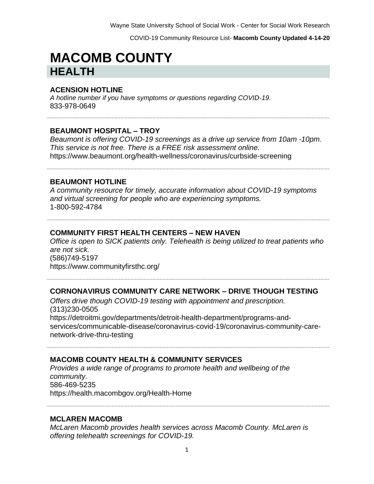COVID-19 Community Resource List- **Macomb County Updated 4-14-20**

# **MACOMB COUNTY HEALTH**

#### **ACENSION HOTLINE**

*A hotline number if you have symptoms or questions regarding COVID-19.* 833-978-0649

#### **BEAUMONT HOSPITAL – TROY**

*Beaumont is offering COVID-19 screenings as a drive up service from 10am -10pm. This service is not free. There is a FREE risk assessment online.*  https://www.beaumont.org/health-wellness/coronavirus/curbside-screening

#### **BEAUMONT HOTLINE**

*A community resource for timely, accurate information about COVID-19 symptoms and virtual screening for people who are experiencing symptoms.* 1-800-592-4784

#### **COMMUNITY FIRST HEALTH CENTERS – NEW HAVEN**

*Office is open to SICK patients only. Telehealth is being utilized to treat patients who are not sick.*  (586)749-5197 https://www.communityfirsthc.org/

#### **CORNONAVIRUS COMMUNITY CARE NETWORK – DRIVE THOUGH TESTING**

*Offers drive though COVID-19 testing with appointment and prescription.*  (313)230-0505 https://detroitmi.gov/departments/detroit-health-department/programs-andservices/communicable-disease/coronavirus-covid-19/coronavirus-community-carenetwork-drive-thru-testing

#### **MACOMB COUNTY HEALTH & COMMUNITY SERVICES**

*Provides a wide range of programs to promote health and wellbeing of the community.* 586-469-5235 https://health.macombgov.org/Health-Home

#### **MCLAREN MACOMB**

*McLaren Macomb provides health services across Macomb County. McLaren is offering telehealth screenings for COVID-19.*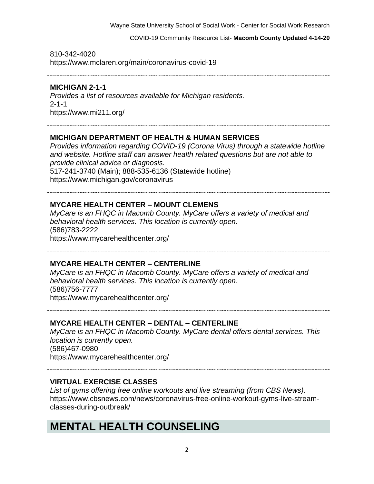COVID-19 Community Resource List- **Macomb County Updated 4-14-20**

810-342-4020 https://www.mclaren.org/main/coronavirus-covid-19

#### **MICHIGAN 2-1-1**

*Provides a list of resources available for Michigan residents.*  2-1-1 https://www.mi211.org/

#### **MICHIGAN DEPARTMENT OF HEALTH & HUMAN SERVICES**

*Provides information regarding COVID-19 (Corona Virus) through a statewide hotline and website. Hotline staff can answer health related questions but are not able to provide clinical advice or diagnosis.* 517-241-3740 (Main); 888-535-6136 (Statewide hotline) https://www.michigan.gov/coronavirus

#### **MYCARE HEALTH CENTER – MOUNT CLEMENS**

*MyCare is an FHQC in Macomb County. MyCare offers a variety of medical and behavioral health services. This location is currently open.*  (586)783-2222 https://www.mycarehealthcenter.org/

**MYCARE HEALTH CENTER – CENTERLINE** 

*MyCare is an FHQC in Macomb County. MyCare offers a variety of medical and behavioral health services. This location is currently open.*  (586)756-7777 https://www.mycarehealthcenter.org/

#### **MYCARE HEALTH CENTER – DENTAL – CENTERLINE**

*MyCare is an FHQC in Macomb County. MyCare dental offers dental services. This location is currently open.*  (586)467-0980 https://www.mycarehealthcenter.org/

#### **VIRTUAL EXERCISE CLASSES**

*List of gyms offering free online workouts and live streaming (from CBS News).* https://www.cbsnews.com/news/coronavirus-free-online-workout-gyms-live-streamclasses-during-outbreak/

### **MENTAL HEALTH COUNSELING**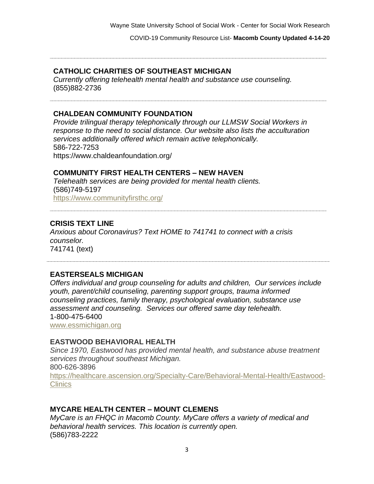COVID-19 Community Resource List- **Macomb County Updated 4-14-20**

#### **CATHOLIC CHARITIES OF SOUTHEAST MICHIGAN**

*Currently offering telehealth mental health and substance use counseling.*  (855)882-2736

#### **CHALDEAN COMMUNITY FOUNDATION**

*Provide trilingual therapy telephonically through our LLMSW Social Workers in response to the need to social distance. Our website also lists the acculturation services additionally offered which remain active telephonically.* 586-722-7253 https://www.chaldeanfoundation.org/

#### **COMMUNITY FIRST HEALTH CENTERS – NEW HAVEN**

*Telehealth services are being provided for mental health clients.*  (586)749-5197 https://www.communityfirsthc.org/

#### **CRISIS TEXT LINE**

*Anxious about Coronavirus? Text HOME to 741741 to connect with a crisis counselor.* 741741 (text)

#### **EASTERSEALS MICHIGAN**

*Offers individual and group counseling for adults and children, Our services include youth, parent/child counseling, parenting support groups, trauma informed counseling practices, family therapy, psychological evaluation, substance use assessment and counseling. Services our offered same day telehealth.* 1-800-475-6400 [www.essmichigan.org](http://www.essmichigan.org/)

#### **EASTWOOD BEHAVIORAL HEALTH**

*Since 1970, Eastwood has provided mental health, and substance abuse treatment services throughout southeast Michigan.* 800-626-3896 [https://healthcare.ascension.org/Specialty-Care/Behavioral-Mental-Health/Eastwood-](https://healthcare.ascension.org/Specialty-Care/Behavioral-Mental-Health/Eastwood-Clinics)**[Clinics](https://healthcare.ascension.org/Specialty-Care/Behavioral-Mental-Health/Eastwood-Clinics)** 

#### **MYCARE HEALTH CENTER – MOUNT CLEMENS**

*MyCare is an FHQC in Macomb County. MyCare offers a variety of medical and behavioral health services. This location is currently open.*  (586)783-2222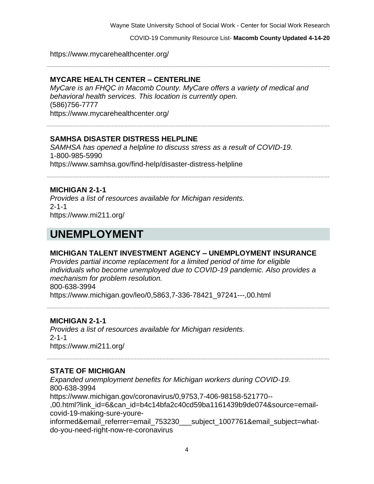COVID-19 Community Resource List- **Macomb County Updated 4-14-20**

https://www.mycarehealthcenter.org/

#### **MYCARE HEALTH CENTER – CENTERLINE**

*MyCare is an FHQC in Macomb County. MyCare offers a variety of medical and behavioral health services. This location is currently open.*  (586)756-7777 https://www.mycarehealthcenter.org/

#### **SAMHSA DISASTER DISTRESS HELPLINE**

*SAMHSA has opened a helpline to discuss stress as a result of COVID-19.*  1-800-985-5990 https://www.samhsa.gov/find-help/disaster-distress-helpline

#### **MICHIGAN 2-1-1**

*Provides a list of resources available for Michigan residents.*  2-1-1 https://www.mi211.org/

### **UNEMPLOYMENT**

#### **MICHIGAN TALENT INVESTMENT AGENCY – UNEMPLOYMENT INSURANCE**

*Provides partial income replacement for a limited period of time for eligible individuals who become unemployed due to COVID-19 pandemic. Also provides a mechanism for problem resolution.* 800-638-3994 https://www.michigan.gov/leo/0,5863,7-336-78421\_97241---,00.html

#### **MICHIGAN 2-1-1**

*Provides a list of resources available for Michigan residents.*   $2 - 1 - 1$ https://www.mi211.org/

#### **STATE OF MICHIGAN**

*Expanded unemployment benefits for Michigan workers during COVID-19.* 800-638-3994 https://www.michigan.gov/coronavirus/0,9753,7-406-98158-521770-- ,00.html?link\_id=6&can\_id=b4c14bfa2c40cd59ba1161439b9de074&source=emailcovid-19-making-sure-youreinformed&email\_referrer=email\_753230\_\_\_subject\_1007761&email\_subject=whatdo-you-need-right-now-re-coronavirus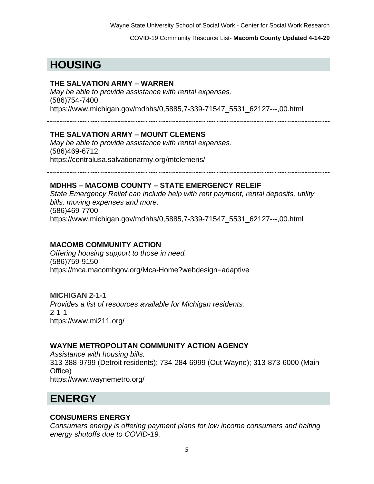COVID-19 Community Resource List- **Macomb County Updated 4-14-20**

# **HOUSING**

#### **THE SALVATION ARMY – WARREN**

*May be able to provide assistance with rental expenses.*  (586)754-7400 https://www.michigan.gov/mdhhs/0,5885,7-339-71547\_5531\_62127---,00.html

#### **THE SALVATION ARMY – MOUNT CLEMENS**

*May be able to provide assistance with rental expenses.*  (586)469-6712 https://centralusa.salvationarmy.org/mtclemens/

#### **MDHHS – MACOMB COUNTY – STATE EMERGENCY RELEIF**

*State Emergency Relief can include help with rent payment, rental deposits, utility bills, moving expenses and more.* (586)469-7700 https://www.michigan.gov/mdhhs/0,5885,7-339-71547\_5531\_62127---,00.html

#### **MACOMB COMMUNITY ACTION**

*Offering housing support to those in need.*  (586)759-9150 https://mca.macombgov.org/Mca-Home?webdesign=adaptive

#### **MICHIGAN 2-1-1**

*Provides a list of resources available for Michigan residents.*  2-1-1 https://www.mi211.org/

#### **WAYNE METROPOLITAN COMMUNITY ACTION AGENCY**

*Assistance with housing bills.* 313-388-9799 (Detroit residents); 734-284-6999 (Out Wayne); 313-873-6000 (Main Office) https://www.waynemetro.org/

### **ENERGY**

#### **CONSUMERS ENERGY**

*Consumers energy is offering payment plans for low income consumers and halting energy shutoffs due to COVID-19.*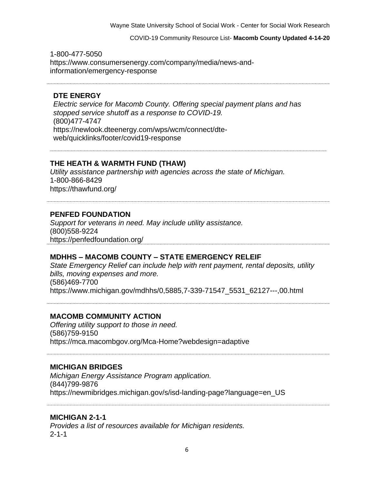COVID-19 Community Resource List- **Macomb County Updated 4-14-20**

1-800-477-5050 https://www.consumersenergy.com/company/media/news-andinformation/emergency-response

#### **DTE ENERGY**

*Electric service for Macomb County. Offering special payment plans and has stopped service shutoff as a response to COVID-19.*  (800)477-4747 https://newlook.dteenergy.com/wps/wcm/connect/dteweb/quicklinks/footer/covid19-response

### **THE HEATH & WARMTH FUND (THAW)**

*Utility assistance partnership with agencies across the state of Michigan.*  1-800-866-8429 https://thawfund.org/

#### **PENFED FOUNDATION**

*Support for veterans in need. May include utility assistance.*  (800)558-9224 https://penfedfoundation.org/

#### **MDHHS – MACOMB COUNTY – STATE EMERGENCY RELEIF**

*State Emergency Relief can include help with rent payment, rental deposits, utility bills, moving expenses and more.* (586)469-7700 https://www.michigan.gov/mdhhs/0,5885,7-339-71547\_5531\_62127---,00.html

#### **MACOMB COMMUNITY ACTION**

*Offering utility support to those in need.*  (586)759-9150 https://mca.macombgov.org/Mca-Home?webdesign=adaptive

#### **MICHIGAN BRIDGES**

*Michigan Energy Assistance Program application.*  (844)799-9876 https://newmibridges.michigan.gov/s/isd-landing-page?language=en\_US

#### **MICHIGAN 2-1-1**

*Provides a list of resources available for Michigan residents.*  2-1-1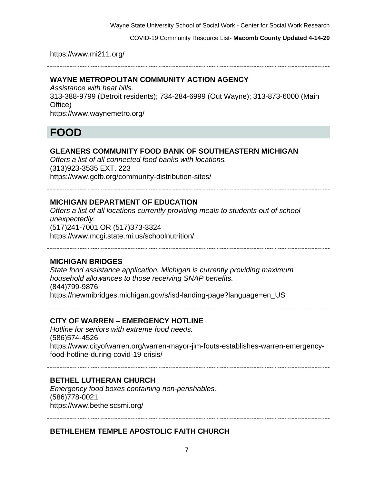COVID-19 Community Resource List- **Macomb County Updated 4-14-20**

https://www.mi211.org/

#### **WAYNE METROPOLITAN COMMUNITY ACTION AGENCY**

*Assistance with heat bills.* 313-388-9799 (Detroit residents); 734-284-6999 (Out Wayne); 313-873-6000 (Main Office) https://www.waynemetro.org/

### **FOOD**

#### **GLEANERS COMMUNITY FOOD BANK OF SOUTHEASTERN MICHIGAN**

*Offers a list of all connected food banks with locations.*  (313)923-3535 EXT. 223 https://www.gcfb.org/community-distribution-sites/

#### **MICHIGAN DEPARTMENT OF EDUCATION**

*Offers a list of all locations currently providing meals to students out of school unexpectedly.*  (517)241-7001 OR (517)373-3324 https://www.mcgi.state.mi.us/schoolnutrition/

#### **MICHIGAN BRIDGES**

*State food assistance application. Michigan is currently providing maximum household allowances to those receiving SNAP benefits.*  (844)799-9876 https://newmibridges.michigan.gov/s/isd-landing-page?language=en\_US

#### **CITY OF WARREN – EMERGENCY HOTLINE**

*Hotline for seniors with extreme food needs.*  (586)574-4526 https://www.cityofwarren.org/warren-mayor-jim-fouts-establishes-warren-emergencyfood-hotline-during-covid-19-crisis/

#### **BETHEL LUTHERAN CHURCH**

*Emergency food boxes containing non-perishables.*  (586)778-0021 https://www.bethelscsmi.org/

#### **BETHLEHEM TEMPLE APOSTOLIC FAITH CHURCH**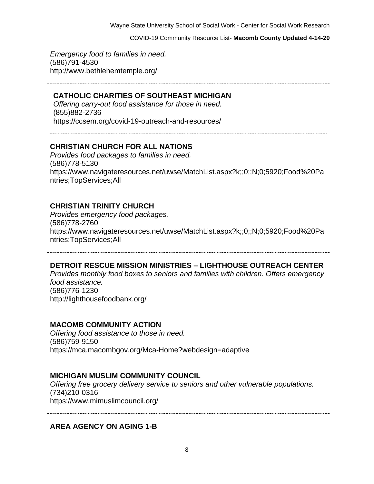COVID-19 Community Resource List- **Macomb County Updated 4-14-20**

*Emergency food to families in need.*  (586)791-4530 http://www.bethlehemtemple.org/

#### **CATHOLIC CHARITIES OF SOUTHEAST MICHIGAN**

*Offering carry-out food assistance for those in need.* (855)882-2736 https://ccsem.org/covid-19-outreach-and-resources/

#### **CHRISTIAN CHURCH FOR ALL NATIONS**

*Provides food packages to families in need.*  (586)778-5130 https://www.navigateresources.net/uwse/MatchList.aspx?k;;0;;N;0;5920;Food%20Pa ntries;TopServices;All

#### **CHRISTIAN TRINITY CHURCH**

*Provides emergency food packages.*  (586)778-2760 https://www.navigateresources.net/uwse/MatchList.aspx?k;;0;;N;0;5920;Food%20Pa ntries;TopServices;All

#### **DETROIT RESCUE MISSION MINISTRIES – LIGHTHOUSE OUTREACH CENTER**

*Provides monthly food boxes to seniors and families with children. Offers emergency food assistance.* 

(586)776-1230 http://lighthousefoodbank.org/

**MACOMB COMMUNITY ACTION**

*Offering food assistance to those in need.*  (586)759-9150 https://mca.macombgov.org/Mca-Home?webdesign=adaptive

#### **MICHIGAN MUSLIM COMMUNITY COUNCIL**

*Offering free grocery delivery service to seniors and other vulnerable populations.*  (734)210-0316 https://www.mimuslimcouncil.org/

**AREA AGENCY ON AGING 1-B**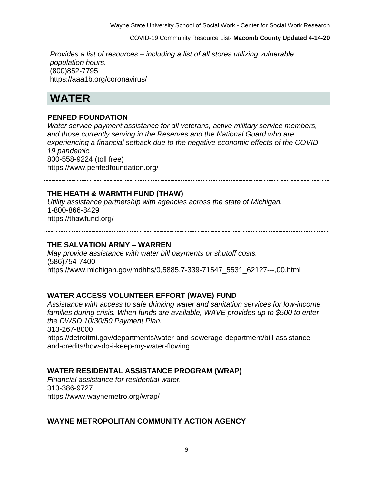COVID-19 Community Resource List- **Macomb County Updated 4-14-20**

*Provides a list of resources – including a list of all stores utilizing vulnerable population hours.*  (800)852-7795 https://aaa1b.org/coronavirus/

### **WATER**

#### **PENFED FOUNDATION**

*Water service payment assistance for all veterans, active military service members, and those currently serving in the Reserves and the National Guard who are experiencing a financial setback due to the negative economic effects of the COVID-19 pandemic.* 800-558-9224 (toll free) https://www.penfedfoundation.org/

#### **THE HEATH & WARMTH FUND (THAW)**

*Utility assistance partnership with agencies across the state of Michigan.*  1-800-866-8429 https://thawfund.org/

#### **THE SALVATION ARMY – WARREN**

*May provide assistance with water bill payments or shutoff costs.*  (586)754-7400 https://www.michigan.gov/mdhhs/0,5885,7-339-71547\_5531\_62127---,00.html

#### **WATER ACCESS VOLUNTEER EFFORT (WAVE) FUND**

*Assistance with access to safe drinking water and sanitation services for low-income families during crisis. When funds are available, WAVE provides up to \$500 to enter the DWSD 10/30/50 Payment Plan.* 313-267-8000 https://detroitmi.gov/departments/water-and-sewerage-department/bill-assistanceand-credits/how-do-i-keep-my-water-flowing

#### **WATER RESIDENTAL ASSISTANCE PROGRAM (WRAP)**

*Financial assistance for residential water.* 313-386-9727 https://www.waynemetro.org/wrap/

#### **WAYNE METROPOLITAN COMMUNITY ACTION AGENCY**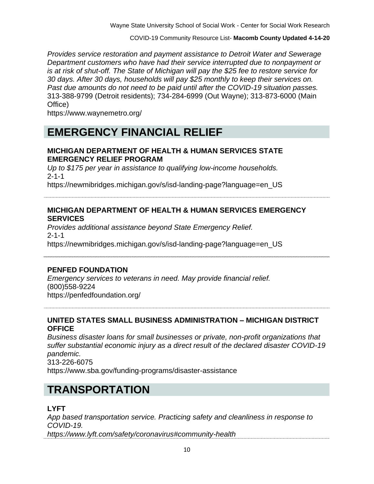COVID-19 Community Resource List- **Macomb County Updated 4-14-20**

*Provides service restoration and payment assistance to Detroit Water and Sewerage Department customers who have had their service interrupted due to nonpayment or is at risk of shut-off. The State of Michigan will pay the \$25 fee to restore service for 30 days. After 30 days, households will pay \$25 monthly to keep their services on. Past due amounts do not need to be paid until after the COVID-19 situation passes.* 313-388-9799 (Detroit residents); 734-284-6999 (Out Wayne); 313-873-6000 (Main Office)

https://www.waynemetro.org/

## **EMERGENCY FINANCIAL RELIEF**

#### **MICHIGAN DEPARTMENT OF HEALTH & HUMAN SERVICES STATE EMERGENCY RELIEF PROGRAM**

*Up to \$175 per year in assistance to qualifying low-income households.* 2-1-1

https://newmibridges.michigan.gov/s/isd-landing-page?language=en\_US

#### **MICHIGAN DEPARTMENT OF HEALTH & HUMAN SERVICES EMERGENCY SERVICES**

*Provides additional assistance beyond State Emergency Relief.* 2-1-1 https://newmibridges.michigan.gov/s/isd-landing-page?language=en\_US

#### **PENFED FOUNDATION**

*Emergency services to veterans in need. May provide financial relief.*  (800)558-9224 https://penfedfoundation.org/

#### **UNITED STATES SMALL BUSINESS ADMINISTRATION – MICHIGAN DISTRICT OFFICE**

*Business disaster loans for small businesses or private, non-profit organizations that suffer substantial economic injury as a direct result of the declared disaster COVID-19 pandemic.* 313-226-6075

https://www.sba.gov/funding-programs/disaster-assistance

# **TRANSPORTATION**

#### **LYFT**

*App based transportation service. Practicing safety and cleanliness in response to COVID-19. https://www.lyft.com/safety/coronavirus#community-health*